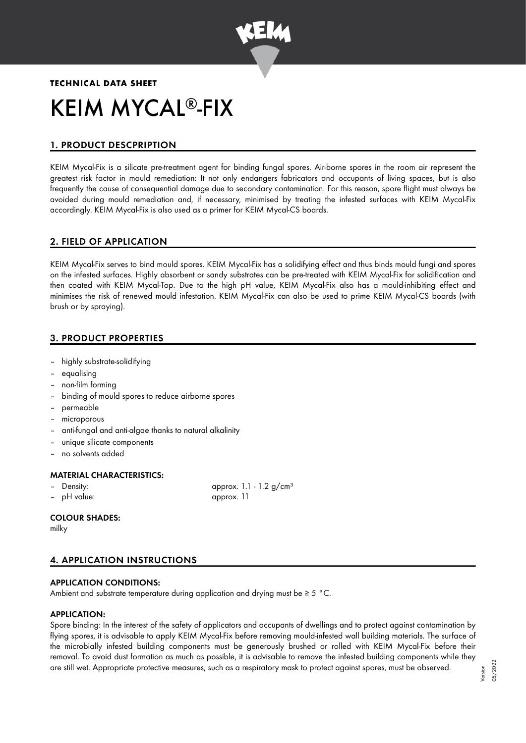

# **TECHNICAL DATA SHEET** KEIM MYCAL®-FIX

# 1. PRODUCT DESCPRIPTION

KEIM Mycal-Fix is a silicate pre-treatment agent for binding fungal spores. Air-borne spores in the room air represent the greatest risk factor in mould remediation: It not only endangers fabricators and occupants of living spaces, but is also frequently the cause of consequential damage due to secondary contamination. For this reason, spore flight must always be avoided during mould remediation and, if necessary, minimised by treating the infested surfaces with KEIM Mycal-Fix accordingly. KEIM Mycal-Fix is also used as a primer for KEIM Mycal-CS boards.

# 2. FIELD OF APPLICATION

KEIM Mycal-Fix serves to bind mould spores. KEIM Mycal-Fix has a solidifying effect and thus binds mould fungi and spores on the infested surfaces. Highly absorbent or sandy substrates can be pre-treated with KEIM Mycal-Fix for solidification and then coated with KEIM Mycal-Top. Due to the high pH value, KEIM Mycal-Fix also has a mould-inhibiting effect and minimises the risk of renewed mould infestation. KEIM Mycal-Fix can also be used to prime KEIM Mycal-CS boards (with brush or by spraying).

# 3. PRODUCT PROPERTIES

- highly substrate-solidifying
- equalising
- non-film forming
- binding of mould spores to reduce airborne spores
- permeable
- microporous
- anti-fungal and anti-algae thanks to natural alkalinity
- unique silicate components
- no solvents added

# MATERIAL CHARACTERISTICS:

- 
- pH value: approx. 11

- Density:  $\alpha$  approx. 1.1 - 1.2 g/cm<sup>3</sup>

# COLOUR SHADES:

milky

# 4. APPLICATION INSTRUCTIONS

# APPLICATION CONDITIONS:

Ambient and substrate temperature during application and drying must be ≥ 5 °C.

# APPLICATION:

Spore binding: In the interest of the safety of applicators and occupants of dwellings and to protect against contamination by flying spores, it is advisable to apply KEIM Mycal-Fix before removing mould-infested wall building materials. The surface of the microbially infested building components must be generously brushed or rolled with KEIM Mycal-Fix before their removal. To avoid dust formation as much as possible, it is advisable to remove the infested building components while they are still wet. Appropriate protective measures, such as a respiratory mask to protect against spores, must be observed.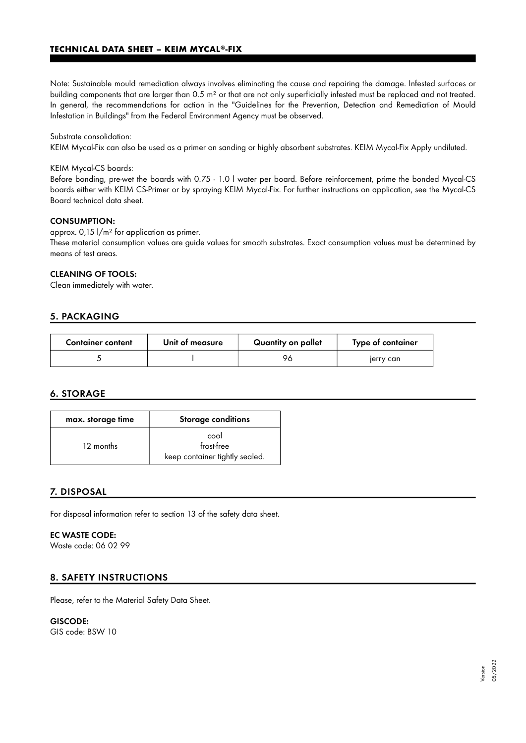## **TECHNICAL DATA SHEET – KEIM MYCAL®-FIX**

Note: Sustainable mould remediation always involves eliminating the cause and repairing the damage. Infested surfaces or building components that are larger than 0.5 m² or that are not only superficially infested must be replaced and not treated. In general, the recommendations for action in the "Guidelines for the Prevention, Detection and Remediation of Mould Infestation in Buildings" from the Federal Environment Agency must be observed.

#### Substrate consolidation:

KEIM Mycal-Fix can also be used as a primer on sanding or highly absorbent substrates. KEIM Mycal-Fix Apply undiluted.

#### KEIM Mycal-CS boards:

Before bonding, pre-wet the boards with 0.75 - 1.0 l water per board. Before reinforcement, prime the bonded Mycal-CS boards either with KEIM CS-Primer or by spraying KEIM Mycal-Fix. For further instructions on application, see the Mycal-CS Board technical data sheet.

#### CONSUMPTION:

approx. 0,15 l/m² for application as primer.

These material consumption values are guide values for smooth substrates. Exact consumption values must be determined by means of test areas.

#### CLEANING OF TOOLS:

Clean immediately with water.

## 5. PACKAGING

| <b>Container content</b> | Unit of measure | Quantity on pallet | Type of container |
|--------------------------|-----------------|--------------------|-------------------|
|                          |                 | 96                 | jerry can         |

# 6. STORAGE

| max. storage time | <b>Storage conditions</b>                            |  |
|-------------------|------------------------------------------------------|--|
| 12 months         | cool<br>frost-free<br>keep container tightly sealed. |  |

# 7. DISPOSAL

For disposal information refer to section 13 of the safety data sheet.

## EC WASTE CODE:

Waste code: 06 02 99

# 8. SAFETY INSTRUCTIONS

Please, refer to the Material Safety Data Sheet.

#### GISCODE:

GIS code: BSW 10